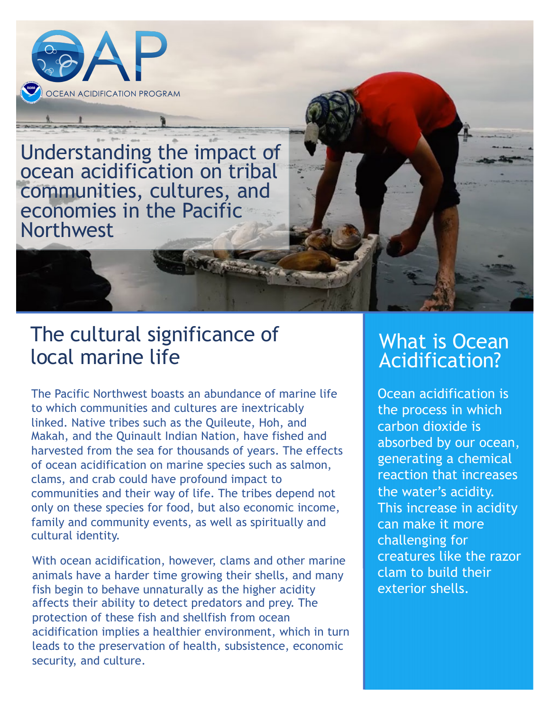

Understanding the impact of ocean acidification on tribal communities, cultures, and economies in the Pacific Northwest

## The cultural significance of local marine life

The Pacific Northwest boasts an abundance of marine life to which communities and cultures are inextricably linked. Native tribes such as the Quileute, Hoh, and Makah, and the Quinault Indian Nation, have fished and harvested from the sea for thousands of years. The effects of ocean acidification on marine species such as salmon, clams, and crab could have profound impact to communities and their way of life. The tribes depend not only on these species for food, but also economic income, family and community events, as well as spiritually and cultural identity.

With ocean acidification, however, clams and other marine animals have a harder time growing their shells, and many fish begin to behave unnaturally as the higher acidity affects their ability to detect predators and prey. The protection of these fish and shellfish from ocean acidification implies a healthier environment, which in turn leads to the preservation of health, subsistence, economic security, and culture.

## What is Ocean Acidification?

Ocean acidification is the process in which carbon dioxide is absorbed by our ocean, generating a chemical reaction that increases the water's acidity. This increase in acidity can make it more challenging for creatures like the razor clam to build their exterior shells.